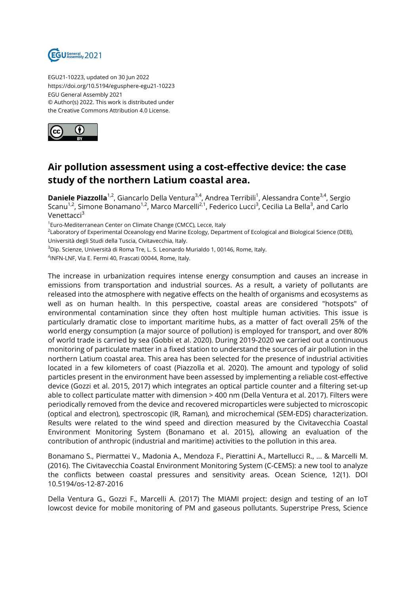

EGU21-10223, updated on 30 Jun 2022 https://doi.org/10.5194/egusphere-egu21-10223 EGU General Assembly 2021 © Author(s) 2022. This work is distributed under the Creative Commons Attribution 4.0 License.



## **Air pollution assessment using a cost-effective device: the case study of the northern Latium coastal area.**

**Daniele Piazzolla**<sup>1,2</sup>, Giancarlo Della Ventura<sup>3,4</sup>, Andrea Terribili<sup>1</sup>, Alessandra Conte<sup>3,4</sup>, Sergio Scanu<sup>1,2</sup>, Simone Bonamano<sup>1,2</sup>, Marco Marcelli<sup>2,1</sup>, Federico Lucci<sup>3</sup>, Cecilia La Bella<sup>3</sup>, and Carlo Venettacci<sup>3</sup>

<sup>1</sup>Euro-Mediterranean Center on Climate Change (CMCC), Lecce, Italy

<sup>2</sup>Laboratory of Experimental Oceanology end Marine Ecology, Department of Ecological and Biological Science (DEB), Università degli Studi della Tuscia, Civitavecchia, Italy.

 $3$ Dip. Scienze, Università di Roma Tre, L. S. Leonardo Murialdo 1, 00146, Rome, Italy.

4 INFN-LNF, Via E. Fermi 40, Frascati 00044, Rome, Italy.

The increase in urbanization requires intense energy consumption and causes an increase in emissions from transportation and industrial sources. As a result, a variety of pollutants are released into the atmosphere with negative effects on the health of organisms and ecosystems as well as on human health. In this perspective, coastal areas are considered "hotspots" of environmental contamination since they often host multiple human activities. This issue is particularly dramatic close to important maritime hubs, as a matter of fact overall 25% of the world energy consumption (a major source of pollution) is employed for transport, and over 80% of world trade is carried by sea (Gobbi et al. 2020). During 2019-2020 we carried out a continuous monitoring of particulate matter in a fixed station to understand the sources of air pollution in the northern Latium coastal area. This area has been selected for the presence of industrial activities located in a few kilometers of coast (Piazzolla et al. 2020). The amount and typology of solid particles present in the environment have been assessed by implementing a reliable cost-effective device (Gozzi et al. 2015, 2017) which integrates an optical particle counter and a filtering set-up able to collect particulate matter with dimension > 400 nm (Della Ventura et al. 2017). Filters were periodically removed from the device and recovered microparticles were subjected to microscopic (optical and electron), spectroscopic (IR, Raman), and microchemical (SEM-EDS) characterization. Results were related to the wind speed and direction measured by the Civitavecchia Coastal Environment Monitoring System (Bonamano et al. 2015), allowing an evaluation of the contribution of anthropic (industrial and maritime) activities to the pollution in this area.

Bonamano S., Piermattei V., Madonia A., Mendoza F., Pierattini A., Martellucci R., ... & Marcelli M. (2016). The Civitavecchia Coastal Environment Monitoring System (C-CEMS): a new tool to analyze the conflicts between coastal pressures and sensitivity areas. Ocean Science, 12(1). DOI 10.5194/os-12-87-2016

Della Ventura G., Gozzi F., Marcelli A. (2017) The MIAMI project: design and testing of an IoT lowcost device for mobile monitoring of PM and gaseous pollutants. Superstripe Press, Science